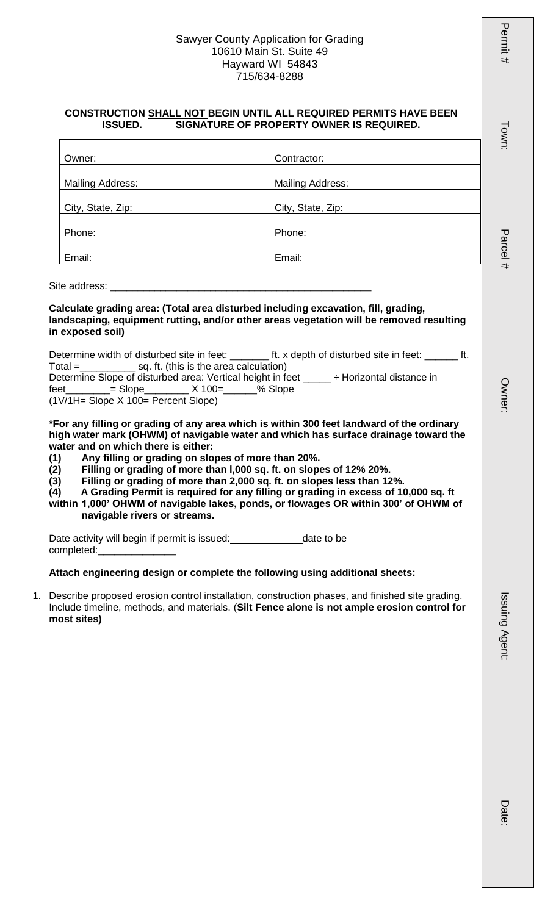## Sawyer County Application for Grading 10610 Main St. Suite 49 Hayward WI 54843 715/634-8288

#### **CONSTRUCTION SHALL NOT BEGIN UNTIL ALL REQUIRED PERMITS HAVE BEEN ISSUED. SIGNATURE OF PROPERTY OWNER IS REQUIRED.**

| Owner:                  | Contractor:             |
|-------------------------|-------------------------|
|                         |                         |
| <b>Mailing Address:</b> | <b>Mailing Address:</b> |
|                         |                         |
| City, State, Zip:       | City, State, Zip:       |
|                         |                         |
| Phone:                  | Phone:                  |
|                         |                         |
| Email:                  | Email:                  |

Site address:

**Calculate grading area: (Total area disturbed including excavation, fill, grading, landscaping, equipment rutting, and/or other areas vegetation will be removed resulting in exposed soil)**

|           | Determine width of disturbed site in feet:                 |                                        |         | ft. x depth of disturbed site in feet: |  |
|-----------|------------------------------------------------------------|----------------------------------------|---------|----------------------------------------|--|
| $Total =$ |                                                            | sq. ft. (this is the area calculation) |         |                                        |  |
|           | Determine Slope of disturbed area: Vertical height in feet |                                        |         | ÷ Horizontal distance in               |  |
| feet      | $=$ Slope $\overline{X}$ 100=                              |                                        | % Slope |                                        |  |
|           | (1V/1H= Slope X 100= Percent Slope)                        |                                        |         |                                        |  |

**\*For any filling or grading of any area which is within 300 feet landward of the ordinary high water mark (OHWM) of navigable water and which has surface drainage toward the water and on which there is either:**

- **(1) Any filling or grading on slopes of more than 20%.**
- **(2) Filling or grading of more than l,000 sq. ft. on slopes of 12% 20%.**
- 
- **(3) Filling or grading of more than 2,000 sq. ft. on slopes less than 12%. (4) A Grading Permit is required for any filling or grading in excess of 10,000 sq. ft**
- **within 1,000' OHWM of navigable lakes, ponds, or flowages OR within 300' of OHWM of navigable rivers or streams.**

Date activity will begin if permit is issued:<br>
<u>Letter activity will begin if permit is issued:</u> completed:

# **Attach engineering design or complete the following using additional sheets:**

1. Describe proposed erosion control installation, construction phases, and finished site grading. Include timeline, methods, and materials. (**Silt Fence alone is not ample erosion control for most sites)** 

Permit # Town: Parcel # Owner: Issuing Agent: Date: Issuing Agent

Permit

ŦF

I own:

Parcel

**Owner** 

Date